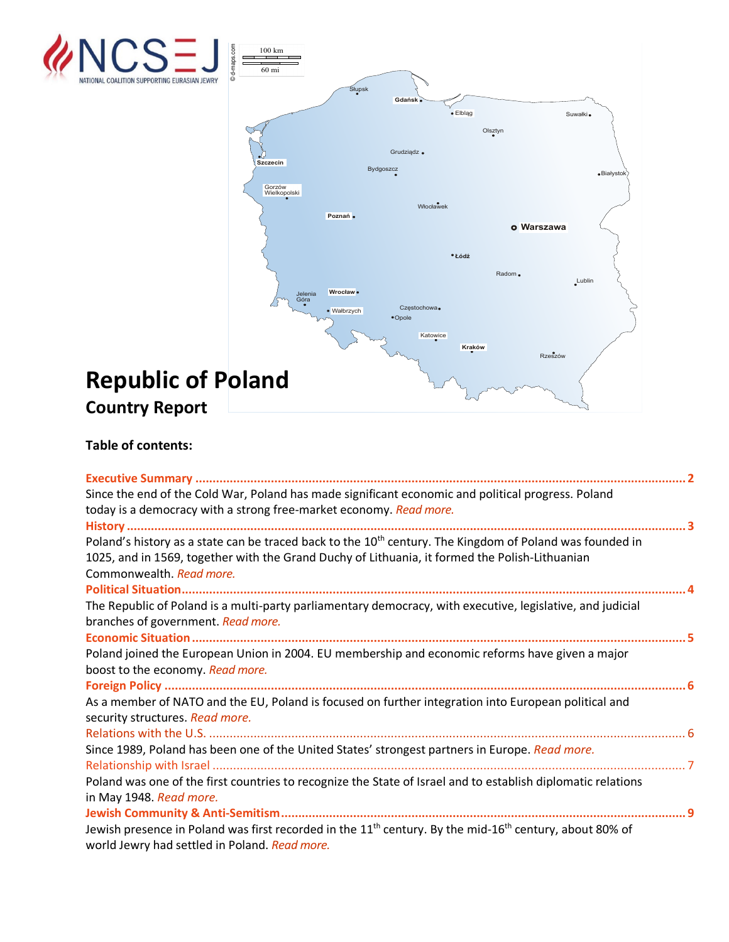

## **Table of contents:**

| Since the end of the Cold War, Poland has made significant economic and political progress. Poland<br>today is a democracy with a strong free-market economy. Read more. |
|--------------------------------------------------------------------------------------------------------------------------------------------------------------------------|
|                                                                                                                                                                          |
|                                                                                                                                                                          |
| Poland's history as a state can be traced back to the 10 <sup>th</sup> century. The Kingdom of Poland was founded in                                                     |
| 1025, and in 1569, together with the Grand Duchy of Lithuania, it formed the Polish-Lithuanian                                                                           |
| Commonwealth. Read more.                                                                                                                                                 |
|                                                                                                                                                                          |
| The Republic of Poland is a multi-party parliamentary democracy, with executive, legislative, and judicial                                                               |
| branches of government. Read more.                                                                                                                                       |
|                                                                                                                                                                          |
| Poland joined the European Union in 2004. EU membership and economic reforms have given a major                                                                          |
| boost to the economy. Read more.                                                                                                                                         |
|                                                                                                                                                                          |
| As a member of NATO and the EU, Poland is focused on further integration into European political and                                                                     |
| security structures. Read more.                                                                                                                                          |
|                                                                                                                                                                          |
| Since 1989, Poland has been one of the United States' strongest partners in Europe. Read more.                                                                           |
|                                                                                                                                                                          |
| Poland was one of the first countries to recognize the State of Israel and to establish diplomatic relations                                                             |
| in May 1948. Read more.                                                                                                                                                  |
|                                                                                                                                                                          |
| Jewish presence in Poland was first recorded in the 11 <sup>th</sup> century. By the mid-16 <sup>th</sup> century, about 80% of                                          |
| world Jewry had settled in Poland. Read more.                                                                                                                            |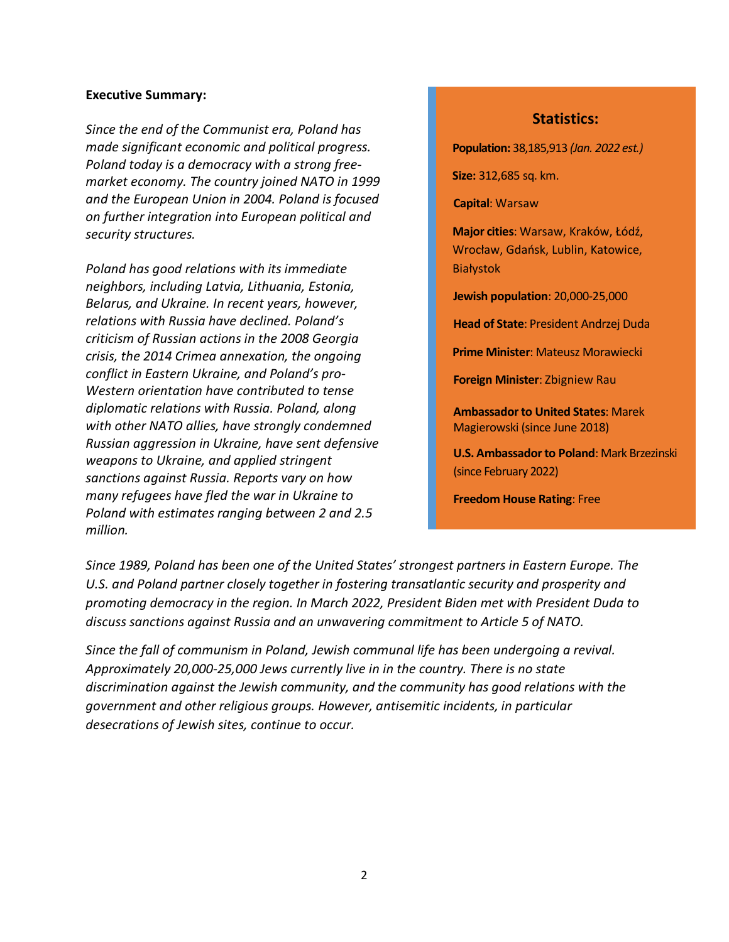#### <span id="page-1-0"></span>**Executive Summary:**

*Since the end of the Communist era, Poland has made significant economic and political progress. Poland today is a democracy with a strong freemarket economy. The country joined NATO in 1999 and the European Union in 2004. Poland is focused on further integration into European political and security structures.*

*Poland has good relations with its immediate neighbors, including Latvia, Lithuania, Estonia, Belarus, and Ukraine. In recent years, however, relations with Russia have declined. Poland's criticism of Russian actions in the 2008 Georgia crisis, the 2014 Crimea annexation, the ongoing conflict in Eastern Ukraine, and Poland's pro-Western orientation have contributed to tense diplomatic relations with Russia. Poland, along with other NATO allies, have strongly condemned Russian aggression in Ukraine, have sent defensive weapons to Ukraine, and applied stringent sanctions against Russia. Reports vary on how many refugees have fled the war in Ukraine to Poland with estimates ranging between 2 and 2.5 million.*

#### **Statistics:**

**Population:** 38,185,913 *(Jan. 2022 est.)*

**Size:** 312,685 sq. km.

**Capital**: Warsaw

**Major cities**: Warsaw, Kraków, Łódź, Wrocław, Gdańsk, Lublin, Katowice, Białystok

**Jewish population**: 20,000-25,000

**Head of State**: President Andrzej Duda

**Prime Minister**: Mateusz Morawiecki

**Foreign Minister**: Zbigniew Rau

**Ambassador to United States**: Marek Magierowski (since June 2018)

**U.S. Ambassador to Poland**: Mark Brzezinski (since February 2022)

**Freedom House Rating**: Free

*Since 1989, Poland has been one of the United States' strongest partners in Eastern Europe. The U.S. and Poland partner closely together in fostering transatlantic security and prosperity and promoting democracy in the region. In March 2022, President Biden met with President Duda to discuss sanctions against Russia and an unwavering commitment to Article 5 of NATO.*

*Since the fall of communism in Poland, Jewish communal life has been undergoing a revival. Approximately 20,000-25,000 Jews currently live in in the country. There is no state discrimination against the Jewish community, and the community has good relations with the government and other religious groups. However, antisemitic incidents, in particular desecrations of Jewish sites, continue to occur.*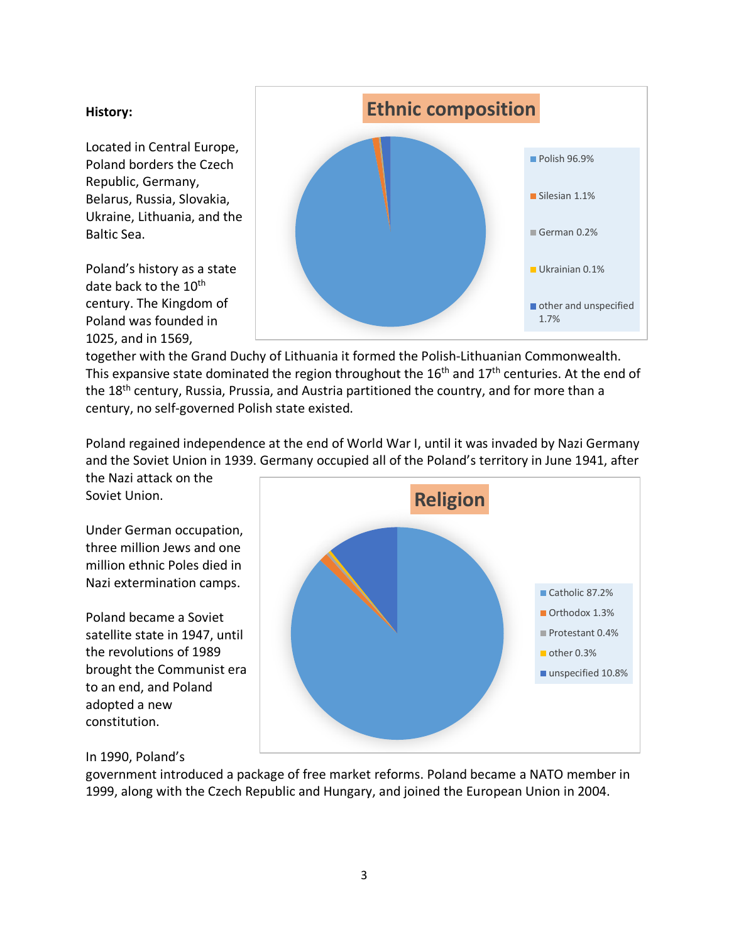#### <span id="page-2-0"></span>**History:**

Located in Central Europe, Poland borders the Czech Republic, Germany, Belarus, Russia, Slovakia, Ukraine, Lithuania, and the Baltic Sea.

Poland's history as a state date back to the  $10^{th}$ century. The Kingdom of Poland was founded in 1025, and in 1569,



together with the Grand Duchy of Lithuania it formed the Polish-Lithuanian Commonwealth. This expansive state dominated the region throughout the  $16<sup>th</sup>$  and  $17<sup>th</sup>$  centuries. At the end of the 18<sup>th</sup> century, Russia, Prussia, and Austria partitioned the country, and for more than a century, no self-governed Polish state existed.

Poland regained independence at the end of World War I, until it was invaded by Nazi Germany and the Soviet Union in 1939. Germany occupied all of the Poland's territory in June 1941, after

the Nazi attack on the Soviet Union.

Under German occupation, three million Jews and one million ethnic Poles died in Nazi extermination camps.

Poland became a Soviet satellite state in 1947, until the revolutions of 1989 brought the Communist era to an end, and Poland adopted a new constitution.



# In 1990, Poland's

<span id="page-2-1"></span>government introduced a package of free market reforms. Poland became a NATO member in 1999, along with the Czech Republic and Hungary, and joined the European Union in 2004.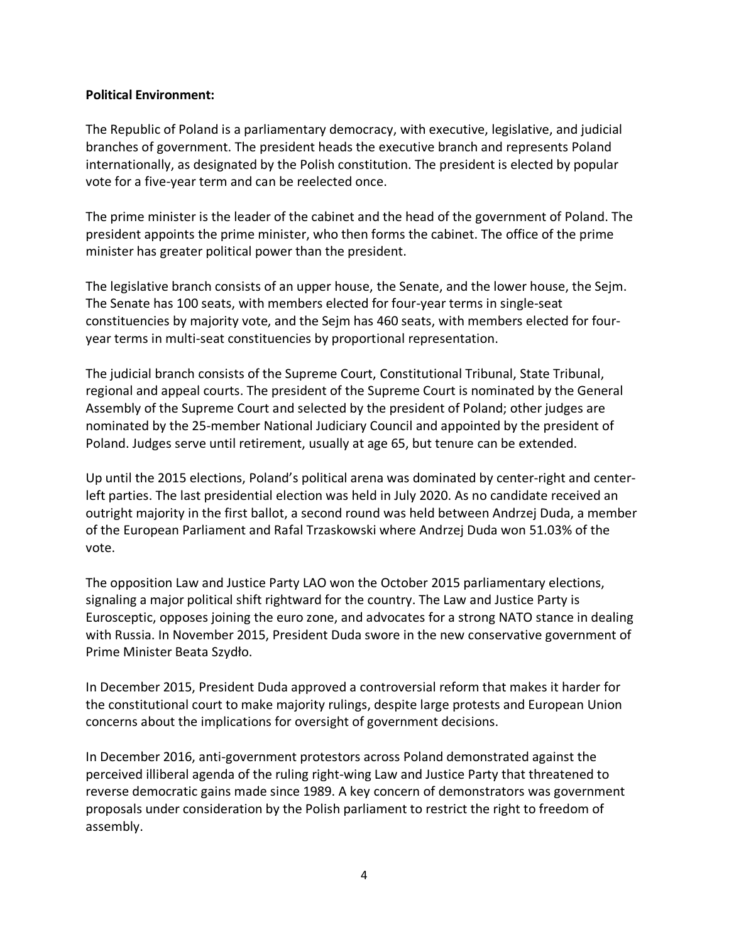#### **Political Environment:**

The Republic of Poland is a parliamentary democracy, with executive, legislative, and judicial branches of government. The president heads the executive branch and represents Poland internationally, as designated by the Polish constitution. The president is elected by popular vote for a five-year term and can be reelected once.

The prime minister is the leader of the cabinet and the head of the government of Poland. The president appoints the prime minister, who then forms the cabinet. The office of the prime minister has greater political power than the president.

The legislative branch consists of an upper house, the Senate, and the lower house, the Sejm. The Senate has 100 seats, with members elected for four-year terms in single-seat constituencies by majority vote, and the Sejm has 460 seats, with members elected for fouryear terms in multi-seat constituencies by proportional representation.

The judicial branch consists of the Supreme Court, Constitutional Tribunal, State Tribunal, regional and appeal courts. The president of the Supreme Court is nominated by the General Assembly of the Supreme Court and selected by the president of Poland; other judges are nominated by the 25-member National Judiciary Council and appointed by the president of Poland. Judges serve until retirement, usually at age 65, but tenure can be extended.

Up until the 2015 elections, Poland's political arena was dominated by center-right and centerleft parties. The last presidential election was held in July 2020. As no candidate received an outright majority in the first ballot, a second round was held between Andrzej Duda, a member of the European Parliament and Rafal Trzaskowski where Andrzej Duda won 51.03% of the vote.

The opposition Law and Justice Party LAO won the October 2015 parliamentary elections, signaling a major political shift rightward for the country. The Law and Justice Party is Eurosceptic, opposes joining the euro zone, and advocates for a strong NATO stance in dealing with Russia. In November 2015, President Duda swore in the new conservative government of Prime Minister Beata Szydło.

In December 2015, President Duda approved a controversial reform that makes it harder for the constitutional court to make majority rulings, despite large protests and European Union concerns about the implications for oversight of government decisions.

In December 2016, anti-government protestors across Poland demonstrated against the perceived illiberal agenda of the ruling right-wing Law and Justice Party that threatened to reverse democratic gains made since 1989. A key concern of demonstrators was government proposals under consideration by the Polish parliament to restrict the right to freedom of assembly.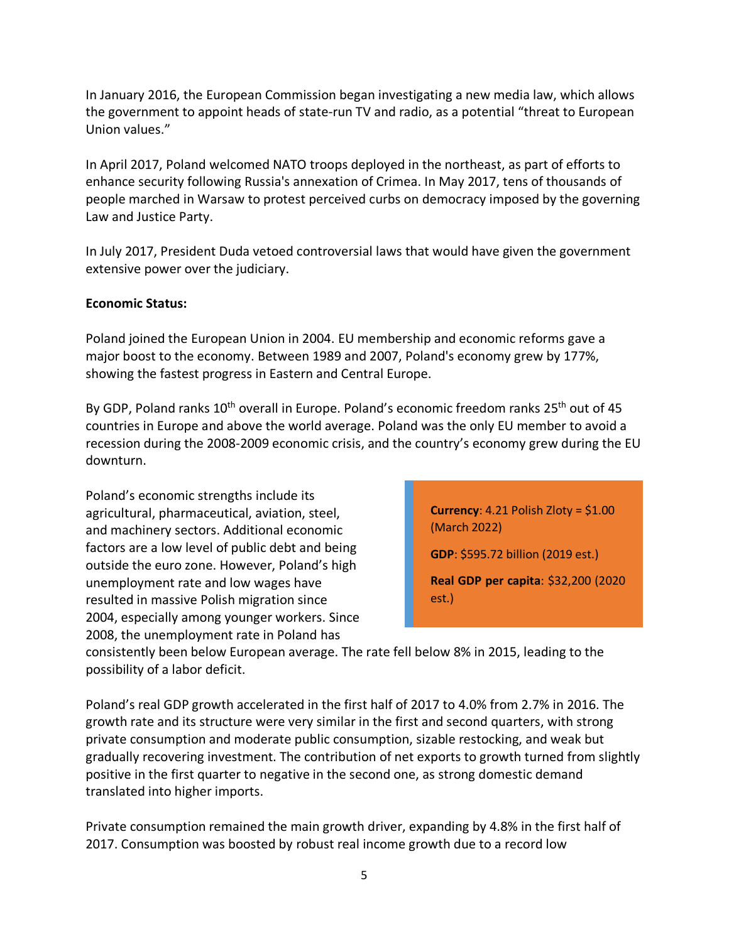In January 2016, the European Commission began investigating a new media law, which allows the government to appoint heads of state-run TV and radio, as a potential "threat to European Union values."

In April 2017, Poland welcomed NATO troops deployed in the northeast, as part of efforts to enhance security following Russia's annexation of Crimea. In May 2017, tens of thousands of people marched in Warsaw to protest perceived curbs on democracy imposed by the governing Law and Justice Party.

In July 2017, President Duda vetoed controversial laws that would have given the government extensive power over the judiciary.

# **Economic Status:**

<span id="page-4-0"></span>Poland joined the European Union in 2004. EU membership and economic reforms gave a major boost to the economy. Between 1989 and 2007, Poland's economy grew by 177%, showing the fastest progress in Eastern and Central Europe.

By GDP, Poland ranks  $10^{th}$  overall in Europe. Poland's economic freedom ranks  $25^{th}$  out of 45 countries in Europe and above the world average. Poland was the only EU member to avoid a recession during the 2008-2009 economic crisis, and the country's economy grew during the EU downturn.

Poland's economic strengths include its agricultural, pharmaceutical, aviation, steel, and machinery sectors. Additional economic factors are a low level of public debt and being outside the euro zone. However, Poland's high unemployment rate and low wages have resulted in massive Polish migration since 2004, especially among younger workers. Since 2008, the unemployment rate in Poland has

**Currency**: 4.21 Polish Zloty = \$1.00 (March 2022) **GDP**: \$595.72 billion (2019 est.) **Real GDP per capita**: \$32,200 (2020 est.)

consistently been below European average. The rate fell below 8% in 2015, leading to the possibility of a labor deficit.

Poland's real GDP growth accelerated in the first half of 2017 to 4.0% from 2.7% in 2016. The growth rate and its structure were very similar in the first and second quarters, with strong private consumption and moderate public consumption, sizable restocking, and weak but gradually recovering investment. The contribution of net exports to growth turned from slightly positive in the first quarter to negative in the second one, as strong domestic demand translated into higher imports.

Private consumption remained the main growth driver, expanding by 4.8% in the first half of 2017. Consumption was boosted by robust real income growth due to a record low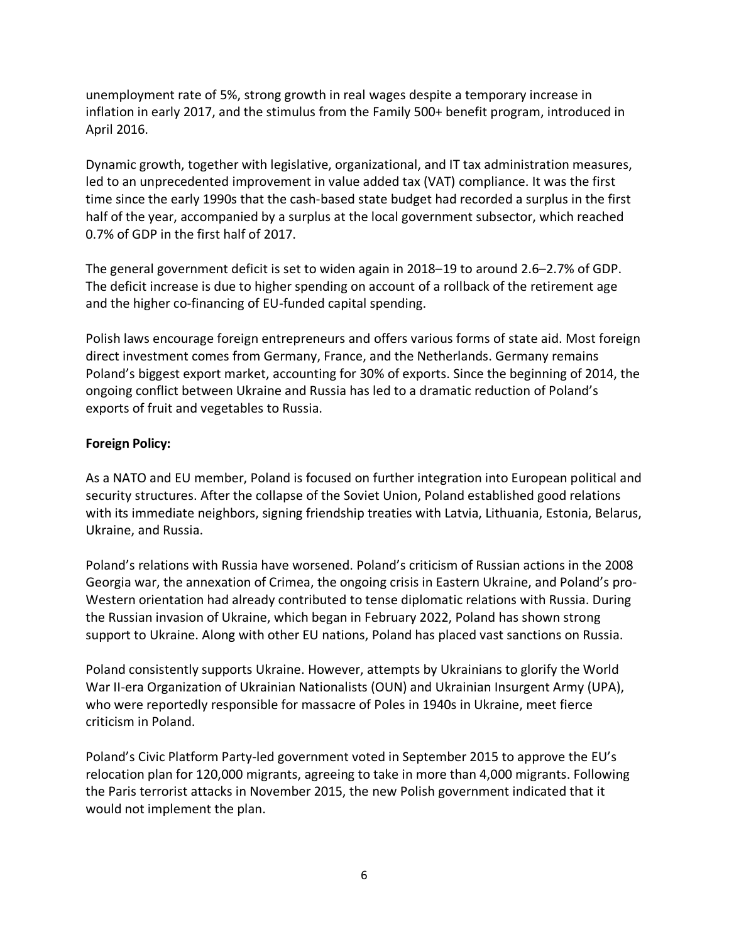unemployment rate of 5%, strong growth in real wages despite a temporary increase in inflation in early 2017, and the stimulus from the Family 500+ benefit program, introduced in April 2016.

Dynamic growth, together with legislative, organizational, and IT tax administration measures, led to an unprecedented improvement in value added tax (VAT) compliance. It was the first time since the early 1990s that the cash-based state budget had recorded a surplus in the first half of the year, accompanied by a surplus at the local government subsector, which reached 0.7% of GDP in the first half of 2017.

The general government deficit is set to widen again in 2018–19 to around 2.6–2.7% of GDP. The deficit increase is due to higher spending on account of a rollback of the retirement age and the higher co-financing of EU-funded capital spending.

Polish laws encourage foreign entrepreneurs and offers various forms of state aid. Most foreign direct investment comes from Germany, France, and the Netherlands. Germany remains Poland's biggest export market, accounting for 30% of exports. Since the beginning of 2014, the ongoing conflict between Ukraine and Russia has led to a dramatic reduction of Poland's exports of fruit and vegetables to Russia.

# **Foreign Policy:**

As a NATO and EU member, Poland is focused on further integration into European political and security structures. After the collapse of the Soviet Union, Poland established good relations with its immediate neighbors, signing friendship treaties with Latvia, Lithuania, Estonia, Belarus, Ukraine, and Russia.

Poland's relations with Russia have worsened. Poland's criticism of Russian actions in the 2008 Georgia war, the annexation of Crimea, the ongoing crisis in Eastern Ukraine, and Poland's pro-Western orientation had already contributed to tense diplomatic relations with Russia. During the Russian invasion of Ukraine, which began in February 2022, Poland has shown strong support to Ukraine. Along with other EU nations, Poland has placed vast sanctions on Russia.

Poland consistently supports Ukraine. However, attempts by Ukrainians to glorify the World War II-era Organization of Ukrainian Nationalists (OUN) and Ukrainian Insurgent Army (UPA), who were reportedly responsible for massacre of Poles in 1940s in Ukraine, meet fierce criticism in Poland.

Poland's Civic Platform Party-led government voted in September 2015 to approve the EU's relocation plan for 120,000 migrants, agreeing to take in more than 4,000 migrants. Following the Paris terrorist attacks in November 2015, the new Polish government indicated that it would not implement the plan.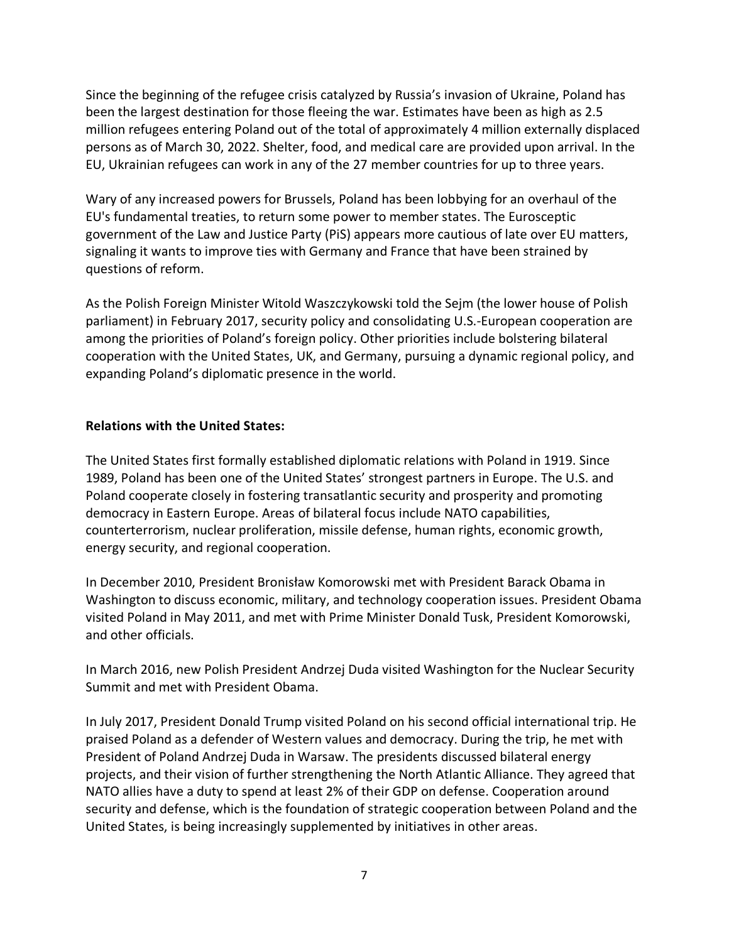Since the beginning of the refugee crisis catalyzed by Russia's invasion of Ukraine, Poland has been the largest destination for those fleeing the war. Estimates have been as high as 2.5 million refugees entering Poland out of the total of approximately 4 million externally displaced persons as of March 30, 2022. Shelter, food, and medical care are provided upon arrival. In the EU, Ukrainian refugees can work in any of the 27 member countries for up to three years.

Wary of any increased powers for Brussels, Poland has been lobbying for an overhaul of the EU's fundamental treaties, to return some power to member states. The Eurosceptic government of the Law and Justice Party (PiS) appears more cautious of late over EU matters, signaling it wants to improve ties with Germany and France that have been strained by questions of reform.

As the Polish Foreign Minister Witold Waszczykowski told the Sejm (the lower house of Polish parliament) in February 2017, security policy and consolidating U.S.-European cooperation are among the priorities of Poland's foreign policy. Other priorities include bolstering bilateral cooperation with the United States, UK, and Germany, pursuing a dynamic regional policy, and expanding Poland's diplomatic presence in the world.

### **Relations with the United States:**

The United States first formally established diplomatic relations with Poland in 1919. Since 1989, Poland has been one of the United States' strongest partners in Europe. The U.S. and Poland cooperate closely in fostering transatlantic security and prosperity and promoting democracy in Eastern Europe. Areas of bilateral focus include NATO capabilities, counterterrorism, nuclear proliferation, missile defense, human rights, economic growth, energy security, and regional cooperation.

In December 2010, President Bronisław Komorowski met with President Barack Obama in Washington to discuss economic, military, and technology cooperation issues. President Obama visited Poland in May 2011, and met with Prime Minister Donald Tusk, President Komorowski, and other officials.

In March 2016, new Polish President Andrzej Duda visited Washington for the Nuclear Security Summit and met with President Obama.

In July 2017, President Donald Trump visited Poland on his second official international trip. He praised Poland as a defender of Western values and democracy. During the trip, he met with President of Poland Andrzej Duda in Warsaw. The presidents discussed bilateral energy projects, and their vision of further strengthening the North Atlantic Alliance. They agreed that NATO allies have a duty to spend at least 2% of their GDP on defense. Cooperation around security and defense, which is the foundation of strategic cooperation between Poland and the United States, is being increasingly supplemented by initiatives in other areas.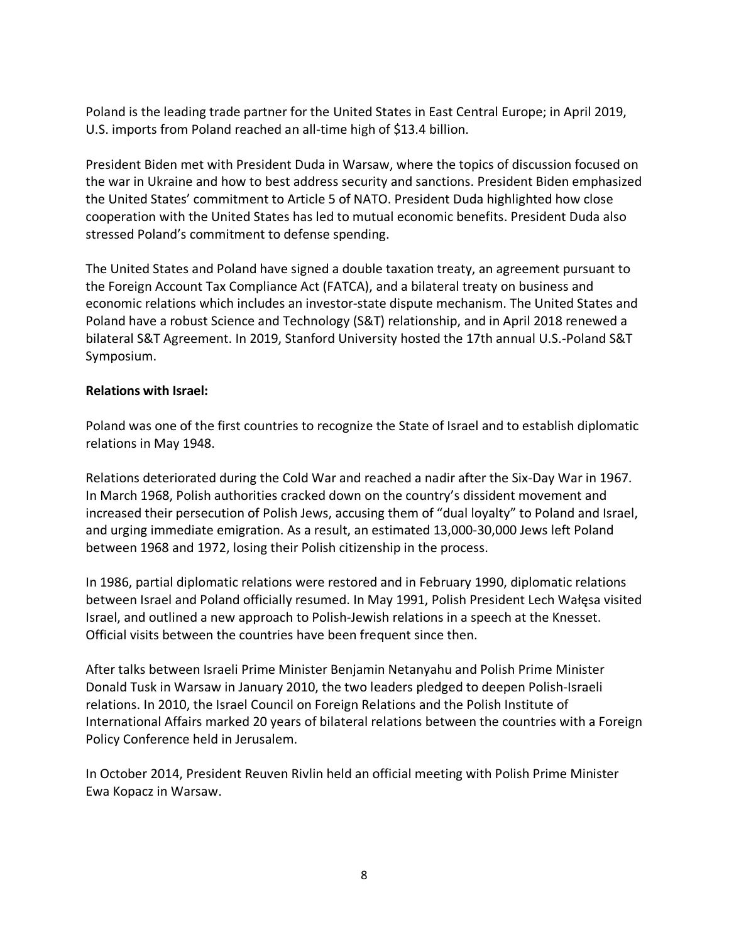Poland is the leading trade partner for the United States in East Central Europe; in April 2019, U.S. imports from Poland reached an all-time high of \$13.4 billion.

President Biden met with President Duda in Warsaw, where the topics of discussion focused on the war in Ukraine and how to best address security and sanctions. President Biden emphasized the United States' commitment to Article 5 of NATO. President Duda highlighted how close cooperation with the United States has led to mutual economic benefits. President Duda also stressed Poland's commitment to defense spending.

The United States and Poland have signed a double taxation treaty, an agreement pursuant to the Foreign Account Tax Compliance Act (FATCA), and a bilateral treaty on business and economic relations which includes an investor-state dispute mechanism. The United States and Poland have a robust Science and Technology (S&T) relationship, and in April 2018 renewed a bilateral S&T Agreement. In 2019, Stanford University hosted the 17th annual U.S.-Poland S&T Symposium.

### **Relations with Israel:**

Poland was one of the first countries to recognize the State of Israel and to establish diplomatic relations in May 1948.

Relations deteriorated during the Cold War and reached a nadir after the Six-Day War in 1967. In March 1968, Polish authorities cracked down on the country's dissident movement and increased their persecution of Polish Jews, accusing them of "dual loyalty" to Poland and Israel, and urging immediate emigration. As a result, an estimated 13,000-30,000 Jews left Poland between 1968 and 1972, losing their Polish citizenship in the process.

In 1986, partial diplomatic relations were restored and in February 1990, diplomatic relations between Israel and Poland officially resumed. In May 1991, Polish President Lech Wałęsa visited Israel, and outlined a new approach to Polish-Jewish relations in a speech at the Knesset. Official visits between the countries have been frequent since then.

After talks between Israeli Prime Minister Benjamin Netanyahu and Polish Prime Minister Donald Tusk in Warsaw in January 2010, the two leaders pledged to deepen Polish-Israeli relations. In 2010, the Israel Council on Foreign Relations and the Polish Institute of International Affairs marked 20 years of bilateral relations between the countries with a Foreign Policy Conference held in Jerusalem.

In October 2014, President Reuven Rivlin held an official meeting with Polish Prime Minister Ewa Kopacz in Warsaw.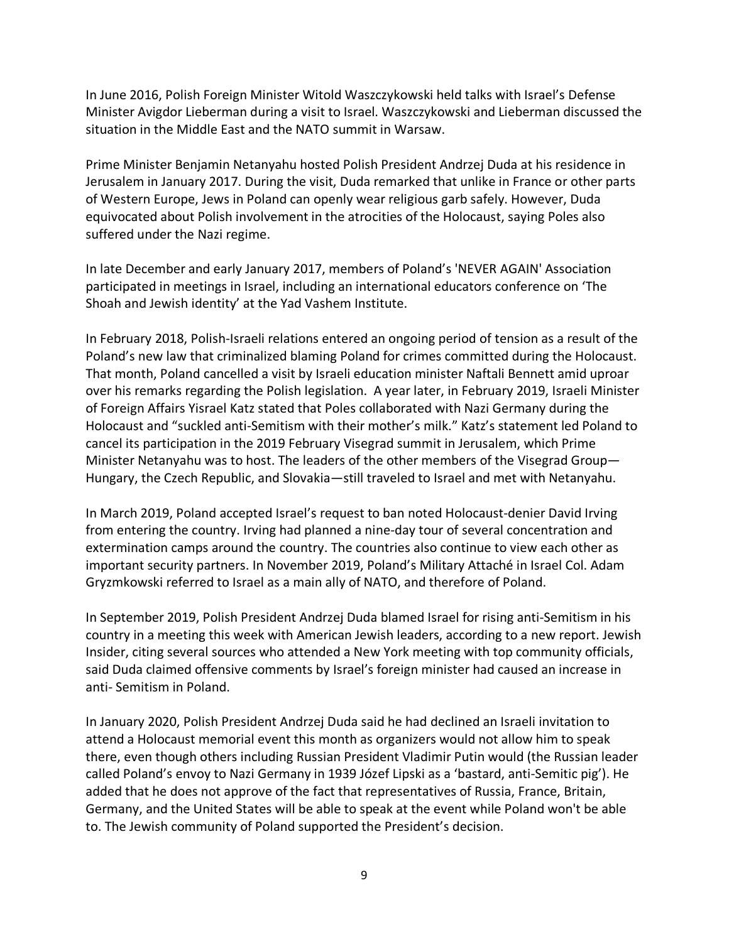In June 2016, Polish Foreign Minister Witold Waszczykowski held talks with Israel's Defense Minister Avigdor Lieberman during a visit to Israel. Waszczykowski and Lieberman discussed the situation in the Middle East and the NATO summit in Warsaw.

Prime Minister Benjamin Netanyahu hosted Polish President Andrzej Duda at his residence in Jerusalem in January 2017. During the visit, Duda remarked that unlike in France or other parts of Western Europe, Jews in Poland can openly wear religious garb safely. However, Duda equivocated about Polish involvement in the atrocities of the Holocaust, saying Poles also suffered under the Nazi regime.

In late December and early January 2017, members of Poland's 'NEVER AGAIN' Association participated in meetings in Israel, including an international educators conference on 'The Shoah and Jewish identity' at the Yad Vashem Institute.

In February 2018, Polish-Israeli relations entered an ongoing period of tension as a result of the Poland's new law that criminalized blaming Poland for crimes committed during the Holocaust. That month, Poland cancelled a visit by Israeli education minister Naftali Bennett amid uproar over his remarks regarding the Polish legislation. A year later, in February 2019, Israeli Minister of Foreign Affairs Yisrael Katz stated that Poles collaborated with Nazi Germany during the Holocaust and "suckled anti-Semitism with their mother's milk." Katz's statement led Poland to cancel its participation in the 2019 February Visegrad summit in Jerusalem, which Prime Minister Netanyahu was to host. The leaders of the other members of the Visegrad Group— Hungary, the Czech Republic, and Slovakia—still traveled to Israel and met with Netanyahu.

In March 2019, Poland accepted Israel's request to ban noted Holocaust-denier David Irving from entering the country. Irving had planned a nine-day tour of several concentration and extermination camps around the country. The countries also continue to view each other as important security partners. In November 2019, Poland's Military Attaché in Israel Col. Adam Gryzmkowski referred to Israel as a main ally of NATO, and therefore of Poland.

In September 2019, Polish President Andrzej Duda blamed Israel for rising anti-Semitism in his country in a meeting this week with American Jewish leaders, according to a new report. Jewish Insider, citing several sources who attended a New York meeting with top community officials, said Duda claimed offensive comments by Israel's foreign minister had caused an increase in anti- Semitism in Poland.

In January 2020, Polish President Andrzej Duda said he had declined an Israeli invitation to attend a Holocaust memorial event this month as organizers would not allow him to speak there, even though others including Russian President Vladimir Putin would (the Russian leader called Poland's envoy to Nazi Germany in 1939 Józef Lipski as a 'bastard, anti-Semitic pig'). He added that he does not approve of the fact that representatives of Russia, France, Britain, Germany, and the United States will be able to speak at the event while Poland won't be able to. The Jewish community of Poland supported the President's decision.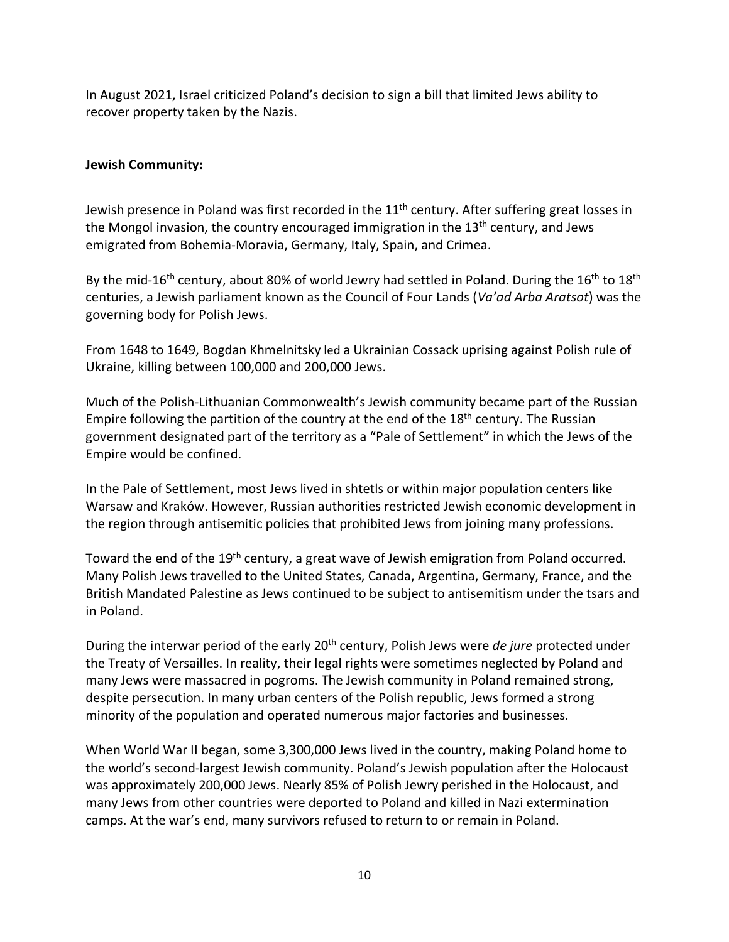In August 2021, Israel criticized Poland's decision to sign a bill that limited Jews ability to recover property taken by the Nazis.

## **Jewish Community:**

Jewish presence in Poland was first recorded in the  $11<sup>th</sup>$  century. After suffering great losses in the Mongol invasion, the country encouraged immigration in the  $13<sup>th</sup>$  century, and Jews emigrated from Bohemia-Moravia, Germany, Italy, Spain, and Crimea.

By the mid-16<sup>th</sup> century, about 80% of world Jewry had settled in Poland. During the 16<sup>th</sup> to 18<sup>th</sup> centuries, a Jewish parliament known as the Council of Four Lands (*Va'ad Arba Aratsot*) was the governing body for Polish Jews.

From 1648 to 1649, Bogdan Khmelnitsky led a Ukrainian Cossack uprising against Polish rule of Ukraine, killing between 100,000 and 200,000 Jews.

Much of the Polish-Lithuanian Commonwealth's Jewish community became part of the Russian Empire following the partition of the country at the end of the 18<sup>th</sup> century. The Russian government designated part of the territory as a "Pale of Settlement" in which the Jews of the Empire would be confined.

In the Pale of Settlement, most Jews lived in shtetls or within major population centers like Warsaw and Kraków. However, Russian authorities restricted Jewish economic development in the region through antisemitic policies that prohibited Jews from joining many professions.

Toward the end of the 19<sup>th</sup> century, a great wave of Jewish emigration from Poland occurred. Many Polish Jews travelled to the United States, Canada, Argentina, Germany, France, and the British Mandated Palestine as Jews continued to be subject to antisemitism under the tsars and in Poland.

During the interwar period of the early 20th century, Polish Jews were *de jure* protected under the Treaty of Versailles. In reality, their legal rights were sometimes neglected by Poland and many Jews were massacred in pogroms. The Jewish community in Poland remained strong, despite persecution. In many urban centers of the Polish republic, Jews formed a strong minority of the population and operated numerous major factories and businesses.

When World War II began, some 3,300,000 Jews lived in the country, making Poland home to the world's second-largest Jewish community. Poland's Jewish population after the Holocaust was approximately 200,000 Jews. Nearly 85% of Polish Jewry perished in the Holocaust, and many Jews from other countries were deported to Poland and killed in Nazi extermination camps. At the war's end, many survivors refused to return to or remain in Poland.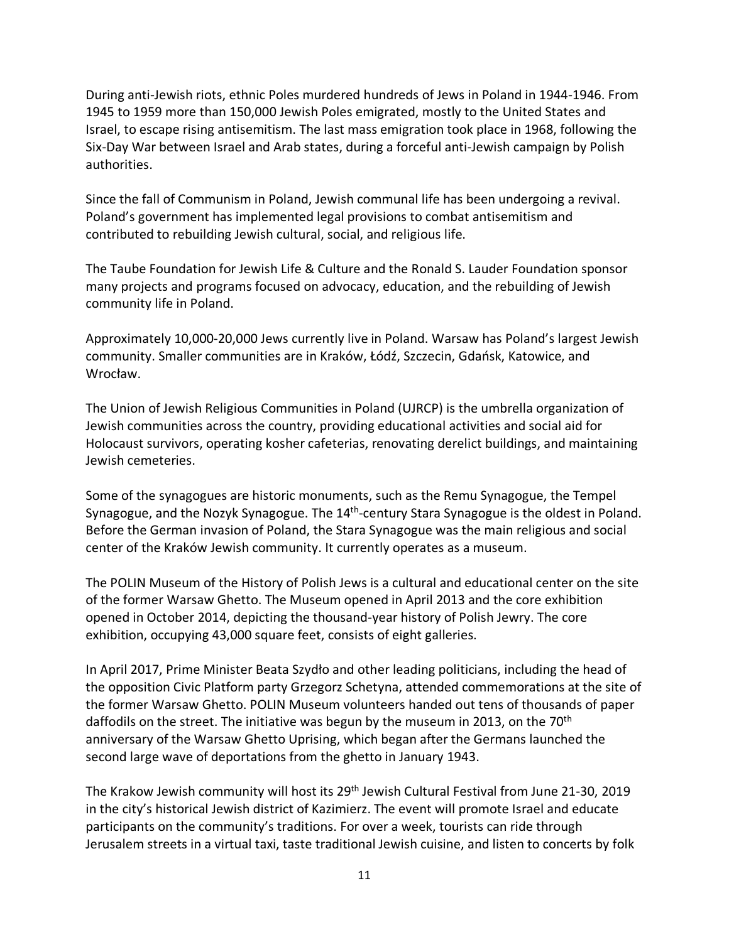During anti-Jewish riots, ethnic Poles murdered hundreds of Jews in Poland in 1944-1946. From 1945 to 1959 more than 150,000 Jewish Poles emigrated, mostly to the United States and Israel, to escape rising antisemitism. The last mass emigration took place in 1968, following the Six-Day War between Israel and Arab states, during a forceful anti-Jewish campaign by Polish authorities.

Since the fall of Communism in Poland, Jewish communal life has been undergoing a revival. Poland's government has implemented legal provisions to combat antisemitism and contributed to rebuilding Jewish cultural, social, and religious life.

The Taube Foundation for Jewish Life & Culture and the Ronald S. Lauder Foundation sponsor many projects and programs focused on advocacy, education, and the rebuilding of Jewish community life in Poland.

Approximately 10,000-20,000 Jews currently live in Poland. Warsaw has Poland's largest Jewish community. Smaller communities are in Kraków, Łódź, Szczecin, Gdańsk, Katowice, and Wrocław.

The Union of Jewish Religious Communities in Poland (UJRCP) is the umbrella organization of Jewish communities across the country, providing educational activities and social aid for Holocaust survivors, operating kosher cafeterias, renovating derelict buildings, and maintaining Jewish cemeteries.

Some of the synagogues are historic monuments, such as the Remu Synagogue, the Tempel Synagogue, and the Nozyk Synagogue. The 14<sup>th</sup>-century Stara Synagogue is the oldest in Poland. Before the German invasion of Poland, the Stara Synagogue was the main religious and social center of the Kraków Jewish community. It currently operates as a museum.

The POLIN Museum of the History of Polish Jews is a cultural and educational center on the site of the former Warsaw Ghetto. The Museum opened in April 2013 and the core exhibition opened in October 2014, depicting the thousand-year history of Polish Jewry. The core exhibition, occupying 43,000 square feet, consists of eight galleries.

In April 2017, Prime Minister Beata Szydło and other leading politicians, including the head of the opposition Civic Platform party Grzegorz Schetyna, attended commemorations at the site of the former Warsaw Ghetto. POLIN Museum volunteers handed out tens of thousands of paper daffodils on the street. The initiative was begun by the museum in 2013, on the  $70<sup>th</sup>$ anniversary of the Warsaw Ghetto Uprising, which began after the Germans launched the second large wave of deportations from the ghetto in January 1943.

The Krakow Jewish community will host its 29<sup>th</sup> Jewish Cultural Festival from June 21-30, 2019 in the city's historical Jewish district of Kazimierz. The event will promote Israel and educate participants on the community's traditions. For over a week, tourists can ride through Jerusalem streets in a virtual taxi, taste traditional Jewish cuisine, and listen to concerts by folk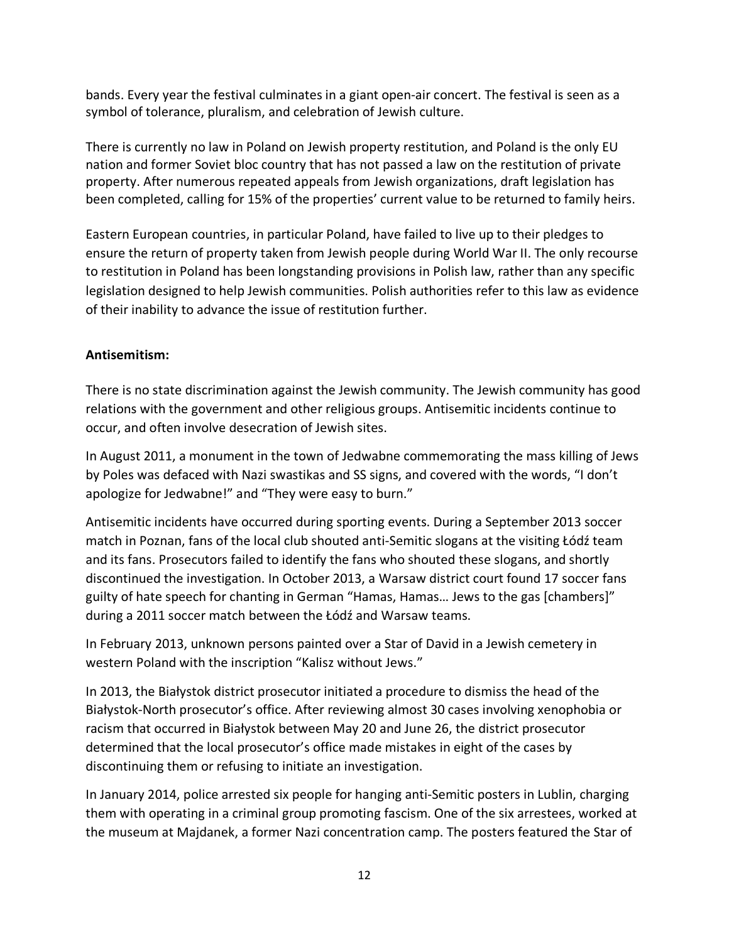bands. Every year the festival culminates in a giant open-air concert. The festival is seen as a symbol of tolerance, pluralism, and celebration of Jewish culture.

There is currently no law in Poland on Jewish property restitution, and Poland is the only EU nation and former Soviet bloc country that has not passed a law on the restitution of private property. After numerous repeated appeals from Jewish organizations, draft legislation has been completed, calling for 15% of the properties' current value to be returned to family heirs.

Eastern European countries, in particular Poland, have failed to live up to their pledges to ensure the return of property taken from Jewish people during World War II. The only recourse to restitution in Poland has been longstanding provisions in Polish law, rather than any specific legislation designed to help Jewish communities. Polish authorities refer to this law as evidence of their inability to advance the issue of restitution further.

# **Antisemitism:**

There is no state discrimination against the Jewish community. The Jewish community has good relations with the government and other religious groups. Antisemitic incidents continue to occur, and often involve desecration of Jewish sites.

In August 2011, a monument in the town of Jedwabne commemorating the mass killing of Jews by Poles was defaced with Nazi swastikas and SS signs, and covered with the words, "I don't apologize for Jedwabne!" and "They were easy to burn."

Antisemitic incidents have occurred during sporting events. During a September 2013 soccer match in Poznan, fans of the local club shouted anti-Semitic slogans at the visiting Łódź team and its fans. Prosecutors failed to identify the fans who shouted these slogans, and shortly discontinued the investigation. In October 2013, a Warsaw district court found 17 soccer fans guilty of hate speech for chanting in German "Hamas, Hamas… Jews to the gas [chambers]" during a 2011 soccer match between the Łódź and Warsaw teams.

In February 2013, unknown persons painted over a Star of David in a Jewish cemetery in western Poland with the inscription "Kalisz without Jews."

In 2013, the Białystok district prosecutor initiated a procedure to dismiss the head of the Białystok-North prosecutor's office. After reviewing almost 30 cases involving xenophobia or racism that occurred in Białystok between May 20 and June 26, the district prosecutor determined that the local prosecutor's office made mistakes in eight of the cases by discontinuing them or refusing to initiate an investigation.

In January 2014, police arrested six people for hanging anti-Semitic posters in Lublin, charging them with operating in a criminal group promoting fascism. One of the six arrestees, worked at the museum at Majdanek, a former Nazi concentration camp. The posters featured the Star of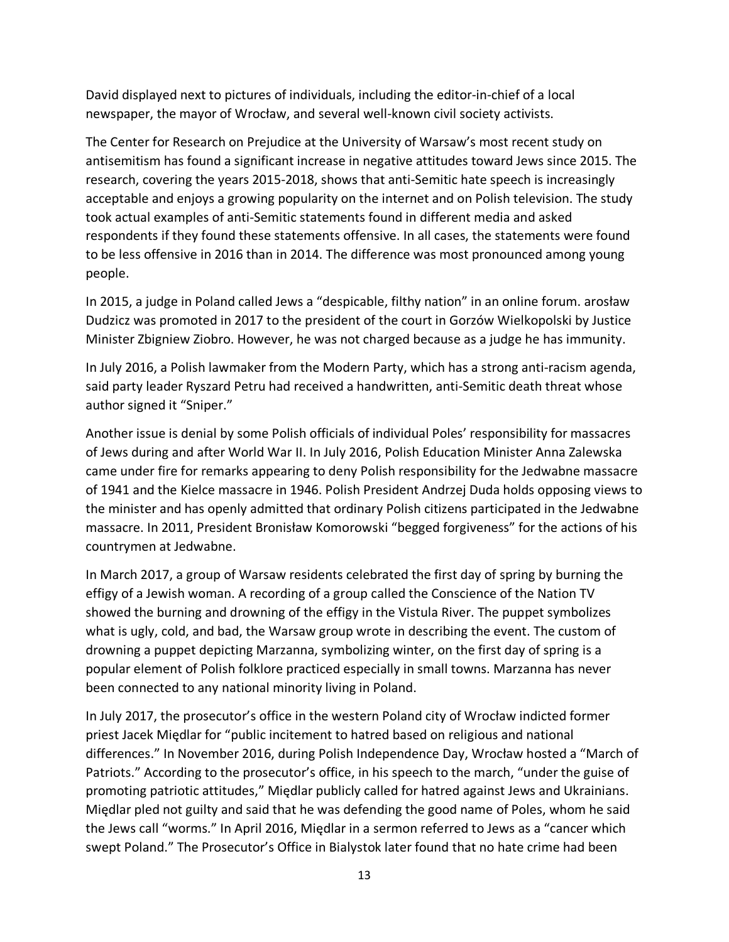David displayed next to pictures of individuals, including the editor-in-chief of a local newspaper, the mayor of Wrocław, and several well-known civil society activists.

The Center for Research on Prejudice at the University of Warsaw's most recent study on antisemitism has found a significant increase in negative attitudes toward Jews since 2015. The research, covering the years 2015-2018, shows that anti-Semitic hate speech is increasingly acceptable and enjoys a growing popularity on the internet and on Polish television. The study took actual examples of anti-Semitic statements found in different media and asked respondents if they found these statements offensive. In all cases, the statements were found to be less offensive in 2016 than in 2014. The difference was most pronounced among young people.

In 2015, a judge in Poland called Jews a "despicable, filthy nation" in an online forum. arosław Dudzicz was promoted in 2017 to the president of the court in Gorzów Wielkopolski by Justice Minister Zbigniew Ziobro. However, he was not charged because as a judge he has immunity.

In July 2016, a Polish lawmaker from the Modern Party, which has a strong anti-racism agenda, said party leader Ryszard Petru had received a handwritten, anti-Semitic death threat whose author signed it "Sniper."

Another issue is denial by some Polish officials of individual Poles' responsibility for massacres of Jews during and after World War II. In July 2016, Polish Education Minister Anna Zalewska came under fire for remarks appearing to deny Polish responsibility for the Jedwabne massacre of 1941 and the Kielce massacre in 1946. Polish President Andrzej Duda holds opposing views to the minister and has openly admitted that ordinary Polish citizens participated in the Jedwabne massacre. In 2011, President Bronisław Komorowski "begged forgiveness" for the actions of his countrymen at Jedwabne.

In March 2017, a group of Warsaw residents celebrated the first day of spring by burning the effigy of a Jewish woman. A recording of a group called the Conscience of the Nation TV showed the burning and drowning of the effigy in the Vistula River. The puppet symbolizes what is ugly, cold, and bad, the Warsaw group wrote in describing the event. The custom of drowning a puppet depicting Marzanna, symbolizing winter, on the first day of spring is a popular element of Polish folklore practiced especially in small towns. Marzanna has never been connected to any national minority living in Poland.

In July 2017, the prosecutor's office in the western Poland city of Wrocław indicted former priest Jacek Międlar for "public incitement to hatred based on religious and national differences." In November 2016, during Polish Independence Day, Wrocław hosted a "March of Patriots." According to the prosecutor's office, in his speech to the march, "under the guise of promoting patriotic attitudes," Międlar publicly called for hatred against Jews and Ukrainians. Międlar pled not guilty and said that he was defending the good name of Poles, whom he said the Jews call "worms." In April 2016, Międlar in a sermon referred to Jews as a "cancer which swept Poland." The Prosecutor's Office in Bialystok later found that no hate crime had been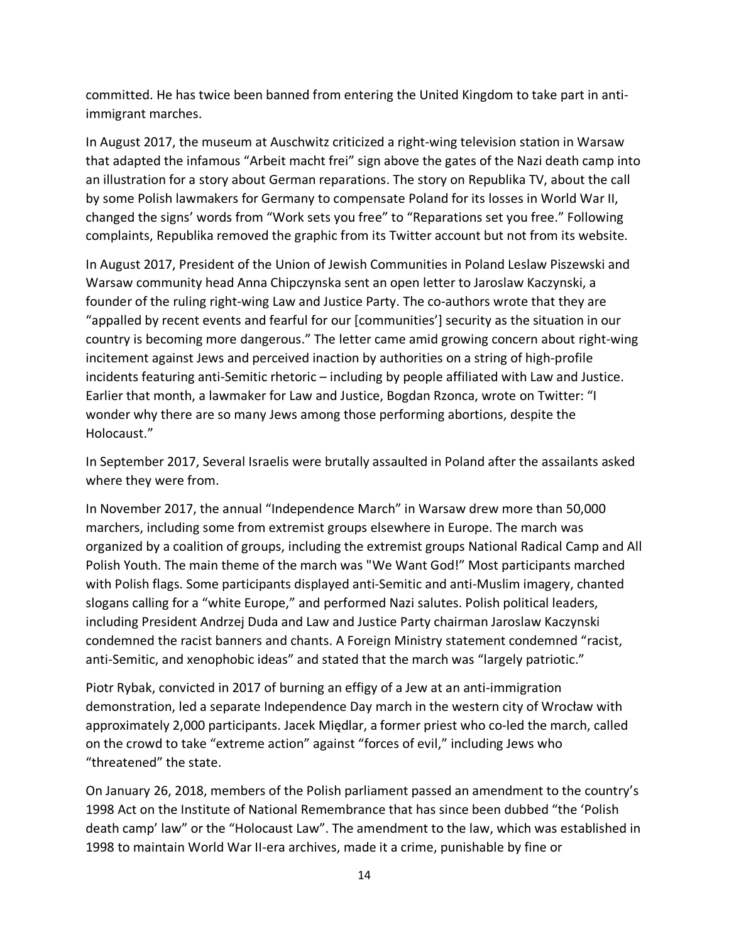committed. He has twice been banned from entering the United Kingdom to take part in antiimmigrant marches.

In August 2017, the museum at Auschwitz criticized a right-wing television station in Warsaw that adapted the infamous "Arbeit macht frei" sign above the gates of the Nazi death camp into an illustration for a story about German reparations. The story on Republika TV, about the call by some Polish lawmakers for Germany to compensate Poland for its losses in World War II, changed the signs' words from "Work sets you free" to "Reparations set you free." Following complaints, Republika removed the graphic from its Twitter account but not from its website.

In August 2017, President of the Union of Jewish Communities in Poland Leslaw Piszewski and Warsaw community head Anna Chipczynska sent an open letter to Jaroslaw Kaczynski, a founder of the ruling right-wing Law and Justice Party. The co-authors wrote that they are "appalled by recent events and fearful for our [communities'] security as the situation in our country is becoming more dangerous." The letter came amid growing concern about right-wing incitement against Jews and perceived inaction by authorities on a string of high-profile incidents featuring anti-Semitic rhetoric – including by people affiliated with Law and Justice. Earlier that month, a lawmaker for Law and Justice, Bogdan Rzonca, wrote on Twitter: "I wonder why there are so many Jews among those performing abortions, despite the Holocaust."

In September 2017, Several Israelis were brutally assaulted in Poland after the assailants asked where they were from.

In November 2017, the annual "Independence March" in Warsaw drew more than 50,000 marchers, including some from extremist groups elsewhere in Europe. The march was organized by a coalition of groups, including the extremist groups National Radical Camp and All Polish Youth. The main theme of the march was "We Want God!" Most participants marched with Polish flags. Some participants displayed anti-Semitic and anti-Muslim imagery, chanted slogans calling for a "white Europe," and performed Nazi salutes. Polish political leaders, including President Andrzej Duda and Law and Justice Party chairman Jaroslaw Kaczynski condemned the racist banners and chants. A Foreign Ministry statement condemned "racist, anti-Semitic, and xenophobic ideas" and stated that the march was "largely patriotic."

Piotr Rybak, convicted in 2017 of burning an effigy of a Jew at an anti-immigration demonstration, led a separate Independence Day march in the western city of Wrocław with approximately 2,000 participants. Jacek Międlar, a former priest who co-led the march, called on the crowd to take "extreme action" against "forces of evil," including Jews who "threatened" the state.

On January 26, 2018, members of the Polish parliament passed an amendment to the country's 1998 Act on the Institute of National Remembrance that has since been dubbed "the 'Polish death camp' law" or the "Holocaust Law". The amendment to the law, which was established in 1998 to maintain World War II-era archives, made it a crime, punishable by fine or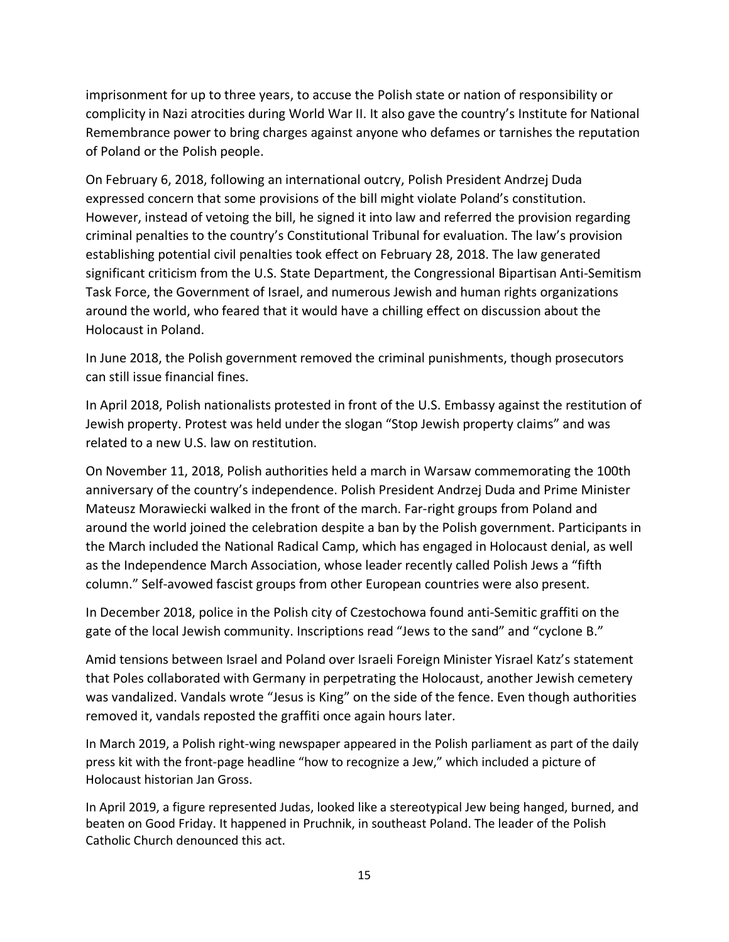imprisonment for up to three years, to accuse the Polish state or nation of responsibility or complicity in Nazi atrocities during World War II. It also gave the country's Institute for National Remembrance power to bring charges against anyone who defames or tarnishes the reputation of Poland or the Polish people.

On February 6, 2018, following an international outcry, Polish President Andrzej Duda expressed concern that some provisions of the bill might violate Poland's constitution. However, instead of vetoing the bill, he signed it into law and referred the provision regarding criminal penalties to the country's Constitutional Tribunal for evaluation. The law's provision establishing potential civil penalties took effect on February 28, 2018. The law generated significant criticism from the U.S. State Department, the Congressional Bipartisan Anti-Semitism Task Force, the Government of Israel, and numerous Jewish and human rights organizations around the world, who feared that it would have a chilling effect on discussion about the Holocaust in Poland.

In June 2018, the Polish government removed the criminal punishments, though prosecutors can still issue financial fines.

In April 2018, Polish nationalists protested in front of the U.S. Embassy against the restitution of Jewish property. Protest was held under the slogan "Stop Jewish property claims" and was related to a new U.S. law on restitution.

On November 11, 2018, Polish authorities held a march in Warsaw commemorating the 100th anniversary of the country's independence. Polish President Andrzej Duda and Prime Minister Mateusz Morawiecki walked in the front of the march. Far-right groups from Poland and around the world joined the celebration despite a ban by the Polish government. Participants in the March included the National Radical Camp, which has engaged in Holocaust denial, as well as the Independence March Association, whose leader recently called Polish Jews a "fifth column." Self-avowed fascist groups from other European countries were also present.

In December 2018, police in the Polish city of Czestochowa found anti-Semitic graffiti on the gate of the local Jewish community. Inscriptions read "Jews to the sand" and "cyclone B."

Amid tensions between Israel and Poland over Israeli Foreign Minister Yisrael Katz's statement that Poles collaborated with Germany in perpetrating the Holocaust, another Jewish cemetery was vandalized. Vandals wrote "Jesus is King" on the side of the fence. Even though authorities removed it, vandals reposted the graffiti once again hours later.

In March 2019, a Polish right-wing newspaper appeared in the Polish parliament as part of the daily press kit with the front-page headline "how to recognize a Jew," which included a picture of Holocaust historian Jan Gross.

In April 2019, a figure represented Judas, looked like a stereotypical Jew being hanged, burned, and beaten on Good Friday. It happened in Pruchnik, in southeast Poland. The leader of the Polish Catholic Church denounced this act.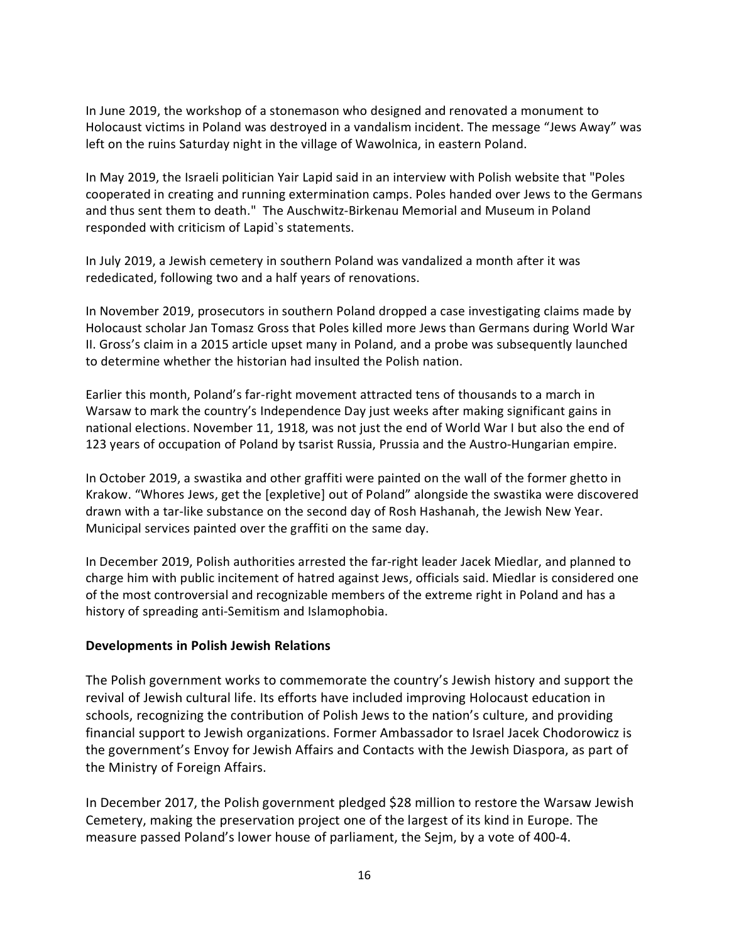In June 2019, the workshop of a stonemason who designed and renovated a monument to Holocaust victims in Poland was destroyed in a vandalism incident. The message "Jews Away" was left on the ruins Saturday night in the village of Wawolnica, in eastern Poland.

In May 2019, the Israeli politician Yair Lapid said in an interview with Polish website that "Poles cooperated in creating and running extermination camps. Poles handed over Jews to the Germans and thus sent them to death." The Auschwitz-Birkenau Memorial and Museum in Poland responded with criticism of Lapid`s statements.

In July 2019, a Jewish cemetery in southern Poland was vandalized a month after it was rededicated, following two and a half years of renovations.

In November 2019, prosecutors in southern Poland dropped a case investigating claims made by Holocaust scholar Jan Tomasz Gross that Poles killed more Jews than Germans during World War II. Gross's claim in a 2015 article upset many in Poland, and a probe was subsequently launched to determine whether the historian had insulted the Polish nation.

Earlier this month, Poland's far-right movement attracted tens of thousands to a march in Warsaw to mark the country's Independence Day just weeks after making significant gains in national elections. November 11, 1918, was not just the end of World War I but also the end of 123 years of occupation of Poland by tsarist Russia, Prussia and the Austro-Hungarian empire.

In October 2019, a swastika and other graffiti were painted on the wall of the former ghetto in Krakow. "Whores Jews, get the [expletive] out of Poland" alongside the swastika were discovered drawn with a tar-like substance on the second day of Rosh Hashanah, the Jewish New Year. Municipal services painted over the graffiti on the same day.

In December 2019, Polish authorities arrested the far-right leader Jacek Miedlar, and planned to charge him with public incitement of hatred against Jews, officials said. Miedlar is considered one of the most controversial and recognizable members of the extreme right in Poland and has a history of spreading anti-Semitism and Islamophobia.

#### **Developments in Polish Jewish Relations**

The Polish government works to commemorate the country's Jewish history and support the revival of Jewish cultural life. Its efforts have included improving Holocaust education in schools, recognizing the contribution of Polish Jews to the nation's culture, and providing financial support to Jewish organizations. Former Ambassador to Israel Jacek Chodorowicz is the government's Envoy for Jewish Affairs and Contacts with the Jewish Diaspora, as part of the Ministry of Foreign Affairs.

In December 2017, the Polish government pledged \$28 million to restore the Warsaw Jewish Cemetery, making the preservation project one of the largest of its kind in Europe. The measure passed Poland's lower house of parliament, the Sejm, by a vote of 400-4.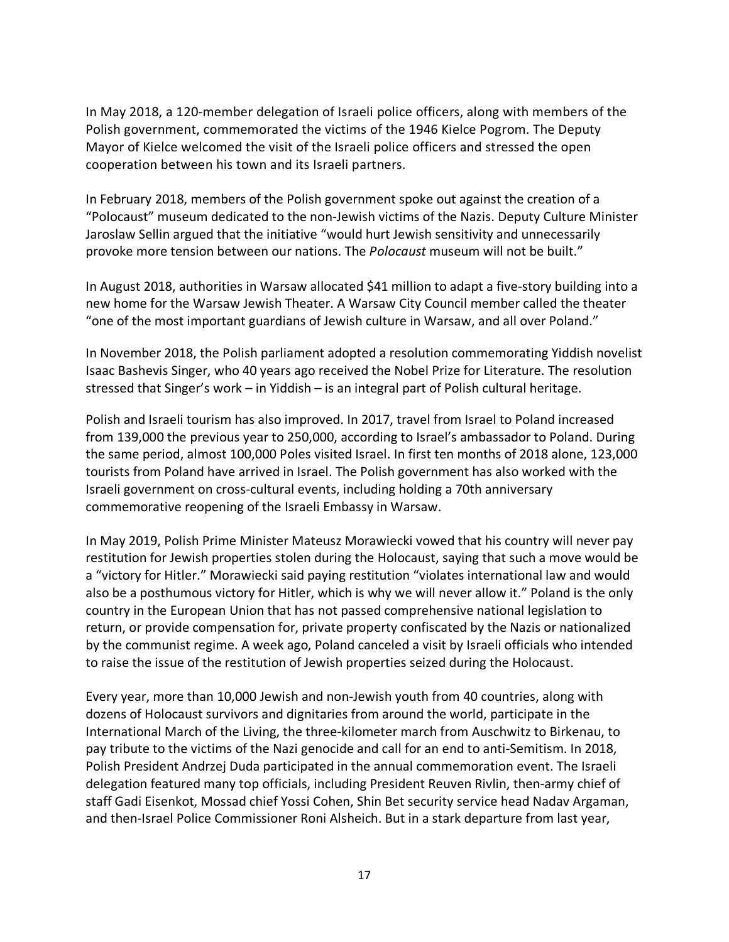In May 2018, a 120-member delegation of Israeli police officers, along with members of the Polish government, commemorated the victims of the 1946 Kielce Pogrom. The Deputy Mayor of Kielce welcomed the visit of the Israeli police officers and stressed the open cooperation between his town and its Israeli partners.

In February 2018, members of the Polish government spoke out against the creation of a "Polocaust" museum dedicated to the non-Jewish victims of the Nazis. Deputy Culture Minister Jaroslaw Sellin argued that the initiative "would hurt Jewish sensitivity and unnecessarily provoke more tension between our nations. The *Polocaust* museum will not be built."

In August 2018, authorities in Warsaw allocated \$41 million to adapt a five-story building into a new home for the Warsaw Jewish Theater. A Warsaw City Council member called the theater "one of the most important guardians of Jewish culture in Warsaw, and all over Poland."

In November 2018, the Polish parliament adopted a resolution commemorating Yiddish novelist Isaac Bashevis Singer, who 40 years ago received the Nobel Prize for Literature. The resolution stressed that Singer's work – in Yiddish – is an integral part of Polish cultural heritage.

Polish and Israeli tourism has also improved. In 2017, travel from Israel to Poland increased from 139,000 the previous year to 250,000, according to Israel's ambassador to Poland. During the same period, almost 100,000 Poles visited Israel. In first ten months of 2018 alone, 123,000 tourists from Poland have arrived in Israel. The Polish government has also worked with the Israeli government on cross-cultural events, including holding a 70th anniversary commemorative reopening of the Israeli Embassy in Warsaw.

In May 2019, Polish Prime Minister Mateusz Morawiecki vowed that his country will never pay restitution for Jewish properties stolen during the Holocaust, saying that such a move would be a "victory for Hitler." Morawiecki said paying restitution "violates international law and would also be a posthumous victory for Hitler, which is why we will never allow it." Poland is the only country in the European Union that has not passed comprehensive national legislation to return, or provide compensation for, private property confiscated by the Nazis or nationalized by the communist regime. A week ago, Poland canceled a visit by Israeli officials who intended to raise the issue of the restitution of Jewish properties seized during the Holocaust.

Every year, more than 10,000 Jewish and non-Jewish youth from 40 countries, along with dozens of Holocaust survivors and dignitaries from around the world, participate in the International March of the Living, the three-kilometer march from Auschwitz to Birkenau, to pay tribute to the victims of the Nazi genocide and call for an end to anti-Semitism. In 2018, Polish President Andrzej Duda participated in the annual commemoration event. The Israeli delegation featured many top officials, including President Reuven Rivlin, then-army chief of staff Gadi Eisenkot, Mossad chief Yossi Cohen, Shin Bet security service head Nadav Argaman, and then-Israel Police Commissioner Roni Alsheich. But in a stark departure from last year,